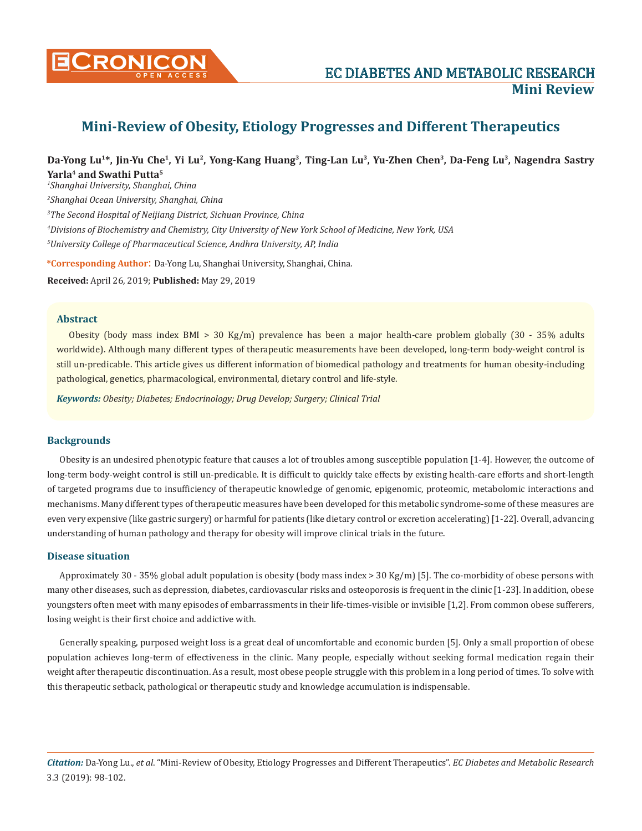

# **Mini-Review of Obesity, Etiology Progresses and Different Therapeutics**

## **Da-Yong Lu1\*, Jin-Yu Che1, Yi Lu2, Yong-Kang Huang3, Ting-Lan Lu3, Yu-Zhen Chen3, Da-Feng Lu3, Nagendra Sastry Yarla4 and Swathi Putta5**

 *Shanghai University, Shanghai, China Shanghai Ocean University, Shanghai, China The Second Hospital of Neijiang District, Sichuan Province, China Divisions of Biochemistry and Chemistry, City University of New York School of Medicine, New York, USA University College of Pharmaceutical Science, Andhra University, AP, India*

**\*Corresponding Author**: Da-Yong Lu, Shanghai University, Shanghai, China.

**Received:** April 26, 2019; **Published:** May 29, 2019

#### **Abstract**

Obesity (body mass index BMI > 30 Kg/m) prevalence has been a major health-care problem globally  $(30 - 35%)$  adults worldwide). Although many different types of therapeutic measurements have been developed, long-term body-weight control is still un-predicable. This article gives us different information of biomedical pathology and treatments for human obesity-including pathological, genetics, pharmacological, environmental, dietary control and life-style.

*Keywords: Obesity; Diabetes; Endocrinology; Drug Develop; Surgery; Clinical Trial*

## **Backgrounds**

Obesity is an undesired phenotypic feature that causes a lot of troubles among susceptible population [1-4]. However, the outcome of long-term body-weight control is still un-predicable. It is difficult to quickly take effects by existing health-care efforts and short-length of targeted programs due to insufficiency of therapeutic knowledge of genomic, epigenomic, proteomic, metabolomic interactions and mechanisms. Many different types of therapeutic measures have been developed for this metabolic syndrome-some of these measures are even very expensive (like gastric surgery) or harmful for patients (like dietary control or excretion accelerating) [1-22]. Overall, advancing understanding of human pathology and therapy for obesity will improve clinical trials in the future.

#### **Disease situation**

Approximately 30 - 35% global adult population is obesity (body mass index > 30 Kg/m) [5]. The co-morbidity of obese persons with many other diseases, such as depression, diabetes, cardiovascular risks and osteoporosis is frequent in the clinic [1-23]. In addition, obese youngsters often meet with many episodes of embarrassments in their life-times-visible or invisible [1,2]. From common obese sufferers, losing weight is their first choice and addictive with.

Generally speaking, purposed weight loss is a great deal of uncomfortable and economic burden [5]. Only a small proportion of obese population achieves long-term of effectiveness in the clinic. Many people, especially without seeking formal medication regain their weight after therapeutic discontinuation. As a result, most obese people struggle with this problem in a long period of times. To solve with this therapeutic setback, pathological or therapeutic study and knowledge accumulation is indispensable.

*Citation:* Da-Yong Lu., *et al*. "Mini-Review of Obesity, Etiology Progresses and Different Therapeutics". *EC Diabetes and Metabolic Research*  3.3 (2019): 98-102.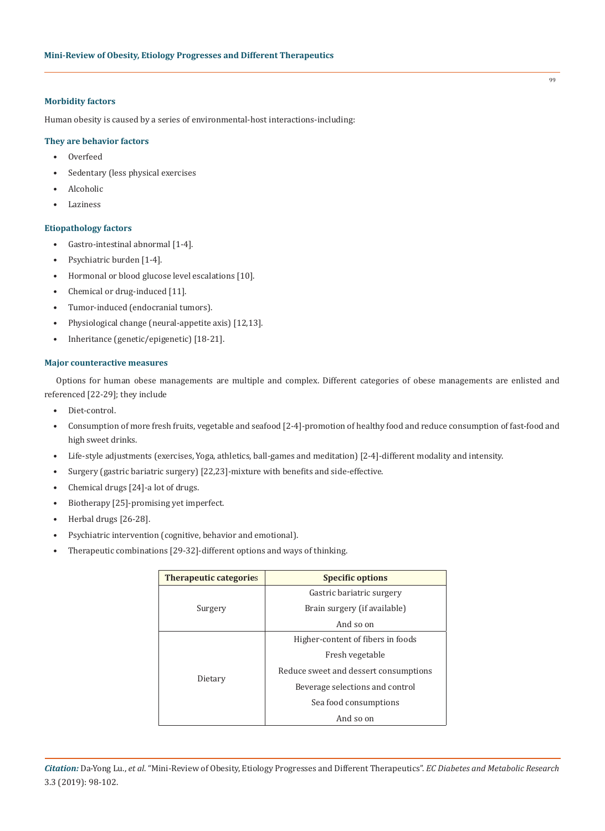## **Morbidity factors**

Human obesity is caused by a series of environmental-host interactions-including:

## **They are behavior factors**

- Overfeed
- Sedentary (less physical exercises
- Alcoholic
- **Laziness**

#### **Etiopathology factors**

- Gastro-intestinal abnormal [1-4].
- Psychiatric burden [1-4].
- Hormonal or blood glucose level escalations [10].
- Chemical or drug-induced [11].
- Tumor-induced (endocranial tumors).
- Physiological change (neural-appetite axis) [12,13].
- Inheritance (genetic/epigenetic) [18-21].

#### **Major counteractive measures**

Options for human obese managements are multiple and complex. Different categories of obese managements are enlisted and referenced [22-29]; they include

- Diet-control.
- Consumption of more fresh fruits, vegetable and seafood [2-4]-promotion of healthy food and reduce consumption of fast-food and high sweet drinks.
- Life-style adjustments (exercises, Yoga, athletics, ball-games and meditation) [2-4]-different modality and intensity.
- Surgery (gastric bariatric surgery) [22,23]-mixture with benefits and side-effective.
- Chemical drugs [24]-a lot of drugs.
- Biotherapy [25]-promising yet imperfect.
- Herbal drugs [26-28].
- Psychiatric intervention (cognitive, behavior and emotional).
- Therapeutic combinations [29-32]-different options and ways of thinking.

| <b>Therapeutic categories</b> | <b>Specific options</b>               |  |
|-------------------------------|---------------------------------------|--|
| Surgery                       | Gastric bariatric surgery             |  |
|                               | Brain surgery (if available)          |  |
|                               | And so on                             |  |
| Dietary                       | Higher-content of fibers in foods     |  |
|                               | Fresh vegetable                       |  |
|                               | Reduce sweet and dessert consumptions |  |
|                               | Beverage selections and control       |  |
|                               | Sea food consumptions                 |  |
|                               | And so on                             |  |

99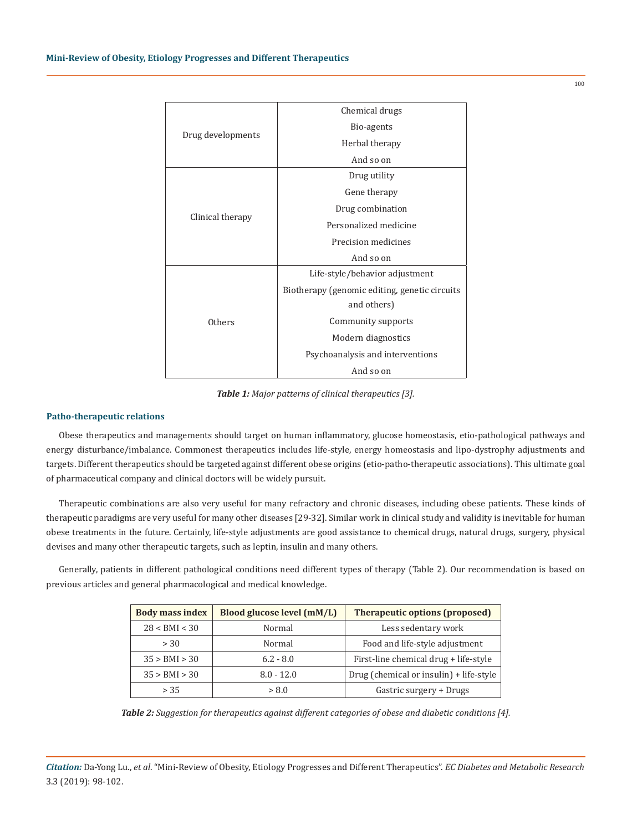| Drug developments | Chemical drugs                                |
|-------------------|-----------------------------------------------|
|                   | Bio-agents                                    |
|                   | Herbal therapy                                |
|                   | And so on                                     |
| Clinical therapy  | Drug utility                                  |
|                   | Gene therapy                                  |
|                   | Drug combination                              |
|                   | Personalized medicine                         |
|                   | Precision medicines                           |
|                   | And so on                                     |
| Others            | Life-style/behavior adjustment                |
|                   | Biotherapy (genomic editing, genetic circuits |
|                   | and others)                                   |
|                   | Community supports                            |
|                   | Modern diagnostics                            |
|                   | Psychoanalysis and interventions              |
|                   | And so on                                     |

*Table 1: Major patterns of clinical therapeutics [3].*

## **Patho-therapeutic relations**

Obese therapeutics and managements should target on human inflammatory, glucose homeostasis, etio-pathological pathways and energy disturbance/imbalance. Commonest therapeutics includes life-style, energy homeostasis and lipo-dystrophy adjustments and targets. Different therapeutics should be targeted against different obese origins (etio-patho-therapeutic associations). This ultimate goal of pharmaceutical company and clinical doctors will be widely pursuit.

Therapeutic combinations are also very useful for many refractory and chronic diseases, including obese patients. These kinds of therapeutic paradigms are very useful for many other diseases [29-32]. Similar work in clinical study and validity is inevitable for human obese treatments in the future. Certainly, life-style adjustments are good assistance to chemical drugs, natural drugs, surgery, physical devises and many other therapeutic targets, such as leptin, insulin and many others.

Generally, patients in different pathological conditions need different types of therapy (Table 2). Our recommendation is based on previous articles and general pharmacological and medical knowledge.

| <b>Body mass index</b> | Blood glucose level (mM/L) | <b>Therapeutic options (proposed)</b>   |
|------------------------|----------------------------|-----------------------------------------|
| 28 < BMI < 30          | Normal                     | Less sedentary work                     |
| > 30                   | Normal                     | Food and life-style adjustment          |
| 35 > BMI > 30          | $6.2 - 8.0$                | First-line chemical drug + life-style   |
| 35 > BMI > 30          | $8.0 - 12.0$               | Drug (chemical or insulin) + life-style |
| > 35                   | > 8.0                      | Gastric surgery + Drugs                 |

*Table 2: Suggestion for therapeutics against different categories of obese and diabetic conditions [4].*

*Citation:* Da-Yong Lu., *et al*. "Mini-Review of Obesity, Etiology Progresses and Different Therapeutics". *EC Diabetes and Metabolic Research*  3.3 (2019): 98-102.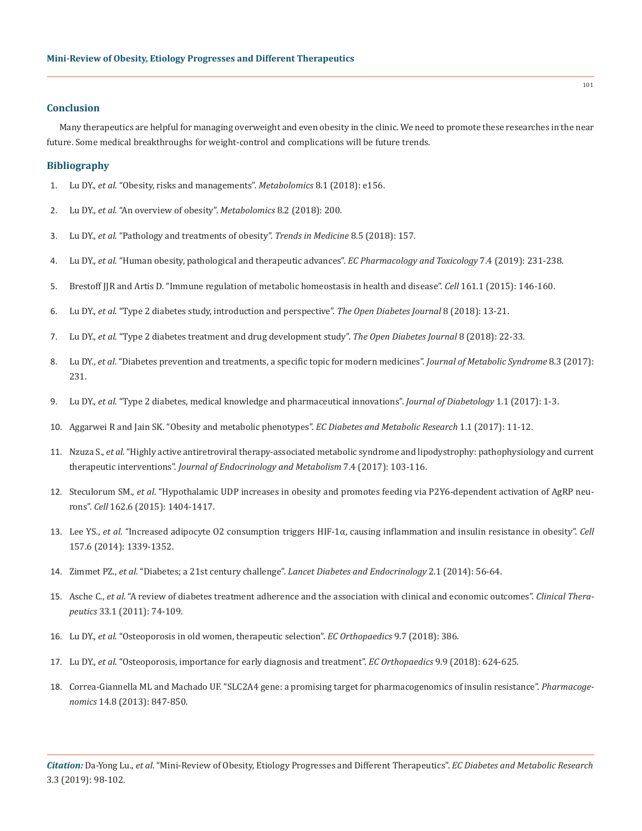#### **Conclusion**

Many therapeutics are helpful for managing overweight and even obesity in the clinic. We need to promote these researches in the near future. Some medical breakthroughs for weight-control and complications will be future trends.

#### **Bibliography**

- 1. Lu DY., *et al*[. "Obesity, risks and managements".](https://www.omicsonline.org/open-access/obesity-risks-and-managements-2153-0769-1000e156-98974.html) *Metabolomics* 8.1 (2018): e156.
- 2. Lu DY., *et al*[. "An overview of obesity".](https://www.omicsonline.org/open-access/an-overview-of-obesity-2153-0769-1000200-101700.html?aid=101700) *Metabolomics* 8.2 (2018): 200.
- 3. Lu DY., *et al*[. "Pathology and treatments of obesity".](https://www.oatext.com/pdf/TiM-18-157.pdf) *Trends in Medicine* 8.5 (2018): 157.
- 4. Lu DY., *et al*[. "Human obesity, pathological and therapeutic advances".](https://www.ecronicon.com/ecpt/pdf/ECPT-07-00279.pdf) *EC Pharmacology and Toxicology* 7.4 (2019): 231-238.
- 5. [Brestoff JJR and Artis D. "Immune regulation of metabolic homeostasis in health and disease".](https://www.ncbi.nlm.nih.gov/pubmed/25815992) *Cell* 161.1 (2015): 146-160.
- 6. Lu DY., *et al*[. "Type 2 diabetes study, introduction and perspective".](https://benthamopen.com/FULLTEXT/TODIAJ-8-13) *The Open Diabetes Journal* 8 (2018): 13-21.
- 7. Lu DY., *et al*[. "Type 2 diabetes treatment and drug development study".](https://benthamopen.com/FULLTEXT/TODIAJ-8-22) *The Open Diabetes Journal* 8 (2018): 22-33.
- 8. Lu DY., *et al*[. "Diabetes prevention and treatments, a specific topic for modern medicines".](https://www.omicsonline.org/open-access/diabetes-preventions-and-treatments-a-specific-topic-for-modernmedicines-2167-0943-1000231.php?aid=93096) *Journal of Metabolic Syndrome* 8.3 (2017): [231.](https://www.omicsonline.org/open-access/diabetes-preventions-and-treatments-a-specific-topic-for-modernmedicines-2167-0943-1000231.php?aid=93096)
- 9. Lu DY., *et al*[. "Type 2 diabetes, medical knowledge and pharmaceutical innovations".](http://www.alliedacademies.org/articles/type-2-diabetes-medical-knowledge-and-pharmaceutical-innovations-8902.html) *Journal of Diabetology* 1.1 (2017): 1-3.
- 10. Aggarwei R and Jain SK. "Obesity and metabolic phenotypes". *EC Diabetes and Metabolic Research* 1.1 (2017): 11-12.
- 11. Nzuza S., *et al*[. "Highly active antiretroviral therapy-associated metabolic syndrome and lipodystrophy: pathophysiology and current](https://www.jofem.org/index.php/jofem/article/view/364)  therapeutic interventions". *[Journal of Endocrinology and Metabolism](https://www.jofem.org/index.php/jofem/article/view/364)* 7.4 (2017): 103-116.
- 12. Steculorum SM., *et al*[. "Hypothalamic UDP increases in obesity and promotes feeding via P2Y6-dependent activation of AgRP neu](https://www.ncbi.nlm.nih.gov/pubmed/26359991)rons". *Cell* [162.6 \(2015\): 1404-1417.](https://www.ncbi.nlm.nih.gov/pubmed/26359991)
- 13. Lee YS., *et al*[. "Increased adipocyte O2 consumption triggers HIF-1α, causing inflammation and insulin resistance in obesity".](https://www.ncbi.nlm.nih.gov/pubmed/24906151) *Cell* [157.6 \(2014\): 1339-1352.](https://www.ncbi.nlm.nih.gov/pubmed/24906151)
- 14. Zimmet PZ., *et al*. "Diabetes; a 21st century challenge". *[Lancet Diabetes and Endocrinology](https://www.ncbi.nlm.nih.gov/pubmed/24622669)* 2.1 (2014): 56-64.
- 15. Asche C., *et al*[. "A review of diabetes treatment adherence and the association with clinical and economic outcomes".](https://www.ncbi.nlm.nih.gov/pubmed/21397776) *Clinical Therapeutics* [33.1 \(2011\): 74-109.](https://www.ncbi.nlm.nih.gov/pubmed/21397776)
- 16. Lu DY., *et al*[. "Osteoporosis in old women, therapeutic selection".](https://www.ecronicon.com/ecor/pdf/ECOR-09-00319.pdf) *EC Orthopaedics* 9.7 (2018): 386.
- 17. Lu DY., *et al*[. "Osteoporosis, importance for early diagnosis and treatment".](https://www.ecronicon.com/ecor/pdf/ECOR-09-00348.pdf) *EC Orthopaedics* 9.9 (2018): 624-625.
- 18. [Correa-Giannella ML and Machado UF. "SLC2A4 gene: a promising target for pharmacogenomics of insulin resistance".](https://www.ncbi.nlm.nih.gov/pubmed/23746177) *Pharmacogenomics* [14.8 \(2013\): 847-850.](https://www.ncbi.nlm.nih.gov/pubmed/23746177)

*Citation:* Da-Yong Lu., *et al*. "Mini-Review of Obesity, Etiology Progresses and Different Therapeutics". *EC Diabetes and Metabolic Research*  3.3 (2019): 98-102.

101